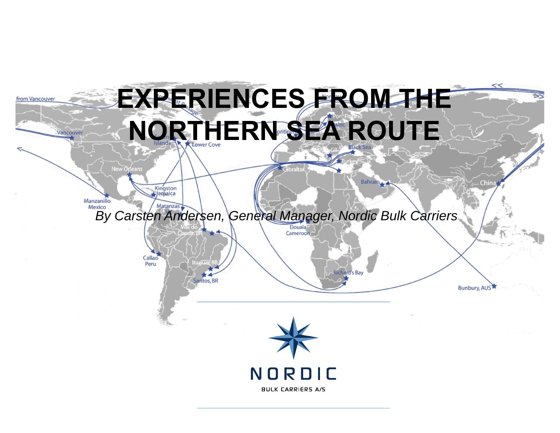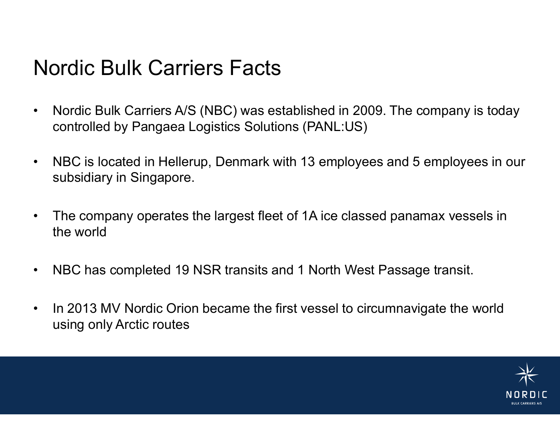# Nordic Bulk Carriers Facts

- • Nordic Bulk Carriers A/S (NBC) was established in 2009. The company is today controlled by Pangaea Logistics Solutions (PANL:US)
- $\bullet$  NBC is located in Hellerup, Denmark with 13 employees and 5 employees in our subsidiary in Singapore.
- $\bullet$  The company operates the largest fleet of 1A ice classed panamax vessels in the world
- $\bullet$ NBC has completed 19 NSR transits and 1 North West Passage transit.
- • In 2013 MV Nordic Orion became the first vessel to circumnavigate the world using only Arctic routes

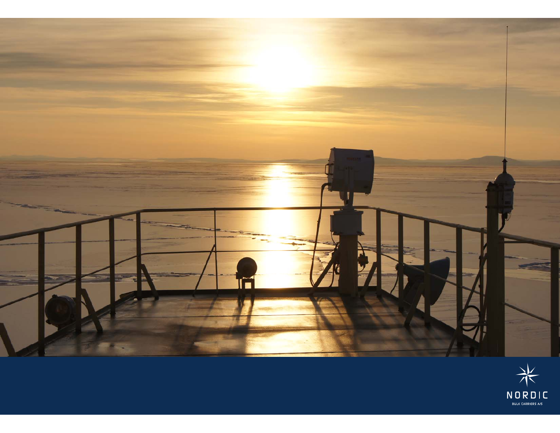

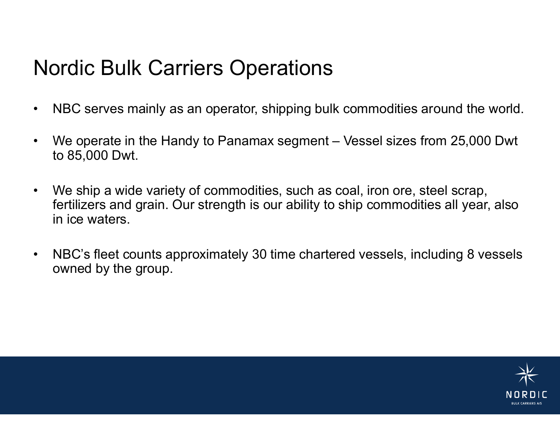# Nordic Bulk Carriers Operations

- •NBC serves mainly as an operator, shipping bulk commodities around the world.
- •We operate in the Handy to Panamax segment – Vessel sizes from 25,000 Dwt to 85,000 Dwt.
- • We ship a wide variety of commodities, such as coal, iron ore, steel scrap, fertilizers and grain. Our strength is our ability to ship commodities all year, also in ice waters.
- • NBC's fleet counts approximately 30 time chartered vessels, including 8 vessels owned by the group.

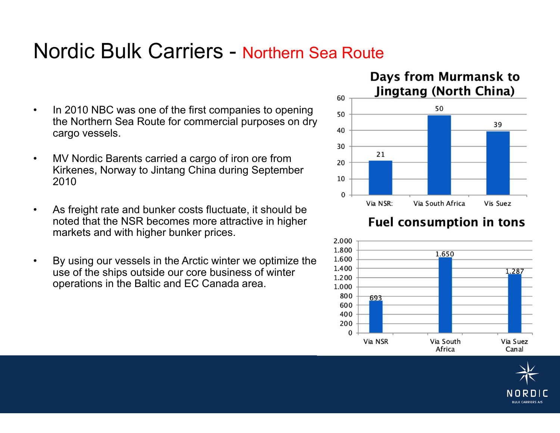## Nordic Bulk Carriers - Northern Sea Route

- • In 2010 NBC was one of the first companies to opening the Northern Sea Route for commercial purposes on dry cargo vessels.
- • MV Nordic Barents carried a cargo of iron ore from Kirkenes, Norway to Jintang China during September 2010
- • As freight rate and bunker costs fluctuate, it should be noted that the NSR becomes more attractive in higher markets and with higher bunker prices.
- • By using our vessels in the Arctic winter we optimize the use of the ships outside our core business of winter operations in the Baltic and EC Canada area.



#### **Fuel consumption in tons**



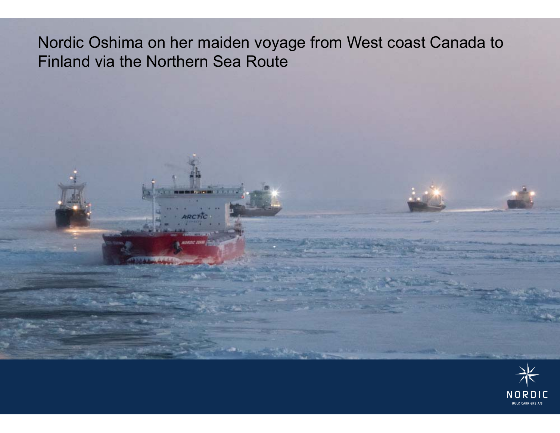### Nordic Oshima on her maiden voyage from West coast Canada to Finland via the Northern Sea Route

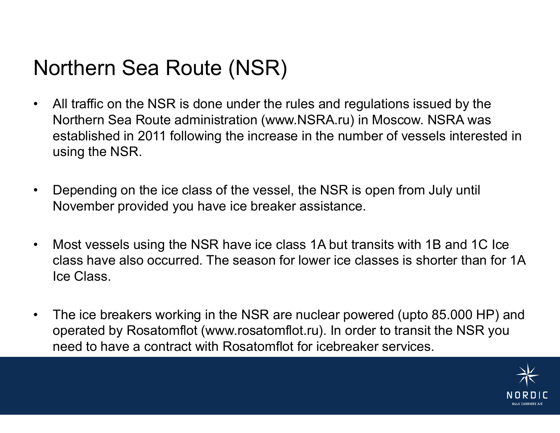# Northern Sea Route (NSR)

- • All traffic on the NSR is done under the rules and regulations issued by the Northern Sea Route administration (www.NSRA.ru) in Moscow. NSRA was established in 2011 following the increase in the number of vessels interested in using the NSR.
- • Depending on the ice class of the vessel, the NSR is open from July until November provided you have ice breaker assistance.
- • Most vessels using the NSR have ice class 1A but transits with 1B and 1C Ice class have also occurred. The season for lower ice classes is shorter than for 1A Ice Class.
- • The ice breakers working in the NSR are nuclear powered (upto 85.000 HP) and operated by Rosatomflot (www.rosatomflot.ru). In order to transit the NSR you need to have a contract with Rosatomflot for icebreaker services.

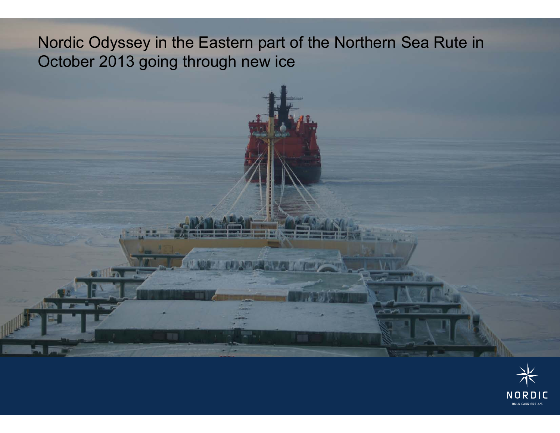### Nordic Odyssey in the Eastern part of the Northern Sea Rute in October 2013 going through new ice

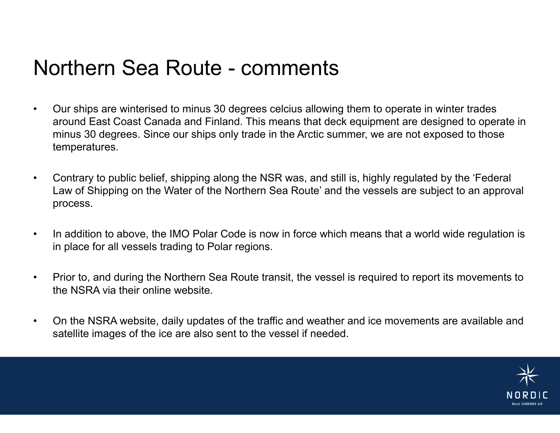# Northern Sea Route - comments

- • Our ships are winterised to minus 30 degrees celcius allowing them to operate in winter trades around East Coast Canada and Finland. This means that deck equipment are designed to operate in minus 30 degrees. Since our ships only trade in the Arctic summer, we are not exposed to those temperatures.
- • Contrary to public belief, shipping along the NSR was, and still is, highly regulated by the 'Federal Law of Shipping on the Water of the Northern Sea Route' and the vessels are subject to an approval process.
- •In addition to above, the IMO Polar Code is now in force which means that a world wide regulation is in place for all vessels trading to Polar regions.
- • Prior to, and during the Northern Sea Route transit, the vessel is required to report its movements to the NSRA via their online website.
- • On the NSRA website, daily updates of the traffic and weather and ice movements are available and satellite images of the ice are also sent to the vessel if needed.